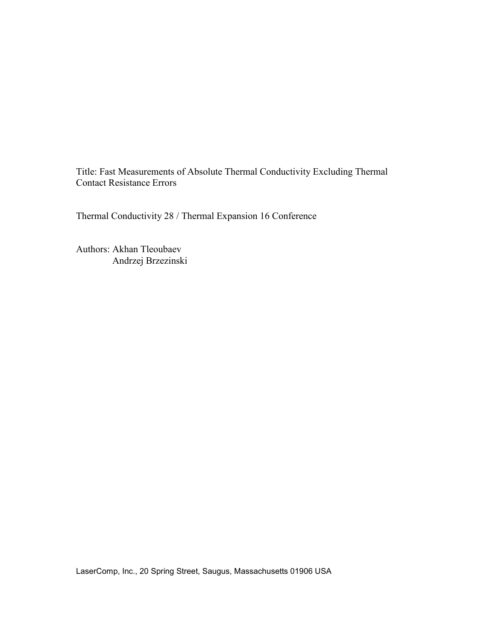Title: Fast Measurements of Absolute Thermal Conductivity Excluding Thermal Contact Resistance Errors

Thermal Conductivity 28 / Thermal Expansion 16 Conference

Authors: Akhan Tleoubaev Andrzej Brzezinski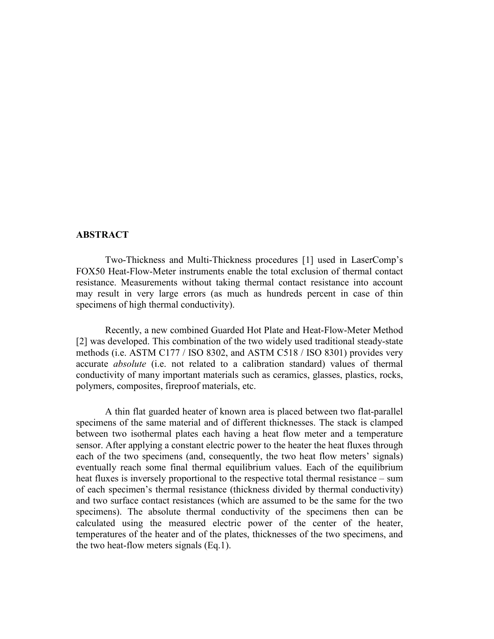## **ABSTRACT**

Two-Thickness and Multi-Thickness procedures [1] used in LaserComp's FOX50 Heat-Flow-Meter instruments enable the total exclusion of thermal contact resistance. Measurements without taking thermal contact resistance into account may result in very large errors (as much as hundreds percent in case of thin specimens of high thermal conductivity).

Recently, a new combined Guarded Hot Plate and Heat-Flow-Meter Method [2] was developed. This combination of the two widely used traditional steady-state methods (i.e. ASTM C177 / ISO 8302, and ASTM C518 / ISO 8301) provides very accurate *absolute* (i.e. not related to a calibration standard) values of thermal conductivity of many important materials such as ceramics, glasses, plastics, rocks, polymers, composites, fireproof materials, etc.

A thin flat guarded heater of known area is placed between two flat-parallel specimens of the same material and of different thicknesses. The stack is clamped between two isothermal plates each having a heat flow meter and a temperature sensor. After applying a constant electric power to the heater the heat fluxes through each of the two specimens (and, consequently, the two heat flow meters' signals) eventually reach some final thermal equilibrium values. Each of the equilibrium heat fluxes is inversely proportional to the respective total thermal resistance – sum of each specimen's thermal resistance (thickness divided by thermal conductivity) and two surface contact resistances (which are assumed to be the same for the two specimens). The absolute thermal conductivity of the specimens then can be calculated using the measured electric power of the center of the heater, temperatures of the heater and of the plates, thicknesses of the two specimens, and the two heat-flow meters signals (Eq.1).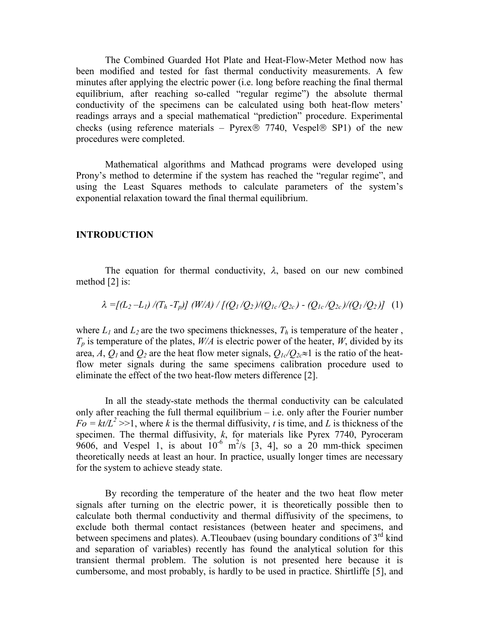The Combined Guarded Hot Plate and Heat-Flow-Meter Method now has been modified and tested for fast thermal conductivity measurements. A few minutes after applying the electric power (i.e. long before reaching the final thermal equilibrium, after reaching so-called "regular regime") the absolute thermal conductivity of the specimens can be calculated using both heat-flow meters' readings arrays and a special mathematical "prediction" procedure. Experimental checks (using reference materials – Pyrex  $\otimes$  7740, Vespel  $\otimes$  SP1) of the new procedures were completed.

Mathematical algorithms and Mathcad programs were developed using Prony's method to determine if the system has reached the "regular regime", and using the Least Squares methods to calculate parameters of the system's exponential relaxation toward the final thermal equilibrium.

## **INTRODUCTION**

The equation for thermal conductivity,  $\lambda$ , based on our new combined method [2] is:

$$
\lambda = [(L_2 - L_1) / (T_h - T_p)] (W/A) / [(Q_1/Q_2) / (Q_{1c}/Q_{2c}) - (Q_{1c}/Q_{2c}) / (Q_1/Q_2)] (1)
$$

where  $L_1$  and  $L_2$  are the two specimens thicknesses,  $T_h$  is temperature of the heater,  $T_p$  is temperature of the plates,  $W/A$  is electric power of the heater, *W*, divided by its area, *A*,  $Q_I$  and  $Q_2$  are the heat flow meter signals,  $Q_I \sim Q_2 \approx 1$  is the ratio of the heatflow meter signals during the same specimens calibration procedure used to eliminate the effect of the two heat-flow meters difference [2].

In all the steady-state methods the thermal conductivity can be calculated only after reaching the full thermal equilibrium  $-$  i.e. only after the Fourier number  $Fo = kt/L^2 \gg 1$ , where *k* is the thermal diffusivity, *t* is time, and *L* is thickness of the specimen. The thermal diffusivity, *k*, for materials like Pyrex 7740, Pyroceram 9606, and Vespel 1, is about  $10^{-6}$  m<sup>2</sup>/s [3, 4], so a 20 mm-thick specimen theoretically needs at least an hour. In practice, usually longer times are necessary for the system to achieve steady state.

By recording the temperature of the heater and the two heat flow meter signals after turning on the electric power, it is theoretically possible then to calculate both thermal conductivity and thermal diffusivity of the specimens, to exclude both thermal contact resistances (between heater and specimens, and between specimens and plates). A.Tleoubaev (using boundary conditions of  $3<sup>rd</sup>$  kind and separation of variables) recently has found the analytical solution for this transient thermal problem. The solution is not presented here because it is cumbersome, and most probably, is hardly to be used in practice. Shirtliffe [5], and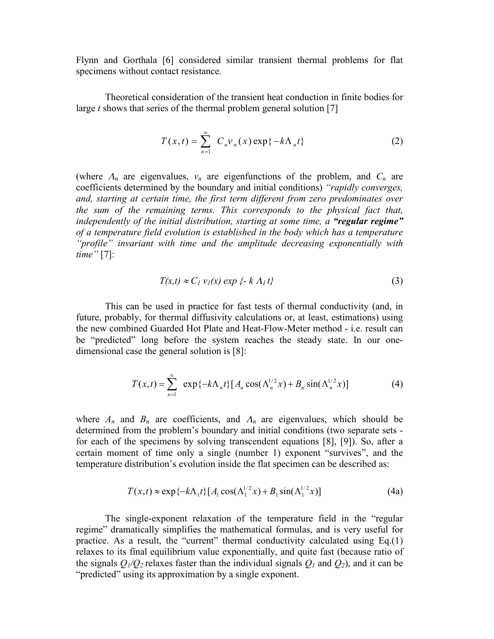Flynn and Gorthala [6] considered similar transient thermal problems for flat specimens without contact resistance.

Theoretical consideration of the transient heat conduction in finite bodies for large *t* shows that series of the thermal problem general solution [7]

$$
T(x,t) = \sum_{n=1}^{\infty} C_n v_n(x) \exp\{-k\Lambda_n t\}
$$
 (2)

(where  $\Lambda_n$  are eigenvalues,  $v_n$  are eigenfunctions of the problem, and  $C_n$  are coefficients determined by the boundary and initial conditions) "rapidly converges, *and, starting at certain time, the first term different from zero predominates over the sum of the remaining terms. This corresponds to the physical fact that, independently of the initial distribution, starting at some time, a "regular regime" of a temperature field evolution is established in the body which has a temperature* "*profile*" invariant with time and the amplitude decreasing exponentially with *time"*[7]:

$$
T(x,t) \approx C_1 v_1(x) \exp \{-k \Lambda_1 t\}
$$
\n(3)

This can be used in practice for fast tests of thermal conductivity (and, in future, probably, for thermal diffusivity calculations or, at least, estimations) using the new combined Guarded Hot Plate and Heat-Flow-Meter method - i.e. result can be "predicted" long before the system reaches the steady state. In our onedimensional case the general solution is [8]:

$$
T(x,t) = \sum_{n=1}^{\infty} \exp\{-k\Lambda_n t\} [A_n \cos(\Lambda_n^{1/2} x) + B_n \sin(\Lambda_n^{1/2} x)]
$$
 (4)

where  $A_n$  and  $B_n$  are coefficients, and  $A_n$  are eigenvalues, which should be determined from the problem's boundary and initial conditions (two separate sets for each of the specimens by solving transcendent equations [8], [9]). So, after a certain moment of time only a single (number 1) exponent "survives", and the temperature distribution's evolution inside the flat specimen can be described as:

$$
T(x,t) \approx \exp\{-k\Lambda_1 t\} [A_1 \cos(\Lambda_1^{1/2} x) + B_1 \sin(\Lambda_1^{1/2} x)]
$$
 (4a)

The single-exponent relaxation of the temperature field in the "regular regime" dramatically simplifies the mathematical formulas, and is very useful for practice. As a result, the "current" thermal conductivity calculated using  $Eq.(1)$ relaxes to its final equilibrium value exponentially, and quite fast (because ratio of the signals  $Q_1/Q_2$  relaxes faster than the individual signals  $Q_1$  and  $Q_2$ ), and it can be "predicted" using its approximation by a single exponent.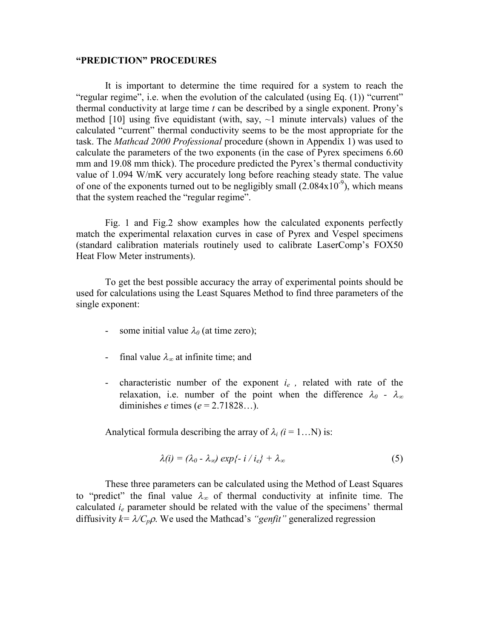## **"PREDICTION"PROCEDURES**

It is important to determine the time required for a system to reach the "regular regime", i.e. when the evolution of the calculated (using Eq.  $(1)$ ) "current" thermal conductivity at large time  $t$  can be described by a single exponent. Prony's method [10] using five equidistant (with, say,  $\sim$ 1 minute intervals) values of the calculated "current" thermal conductivity seems to be the most appropriate for the task. The *Mathcad 2000 Professional* procedure (shown in Appendix 1) was used to calculate the parameters of the two exponents (in the case of Pyrex specimens 6.60 mm and 19.08 mm thick). The procedure predicted the Pyrex's thermal conductivity value of 1.094 W/mK very accurately long before reaching steady state. The value of one of the exponents turned out to be negligibly small  $(2.084 \times 10^{-9})$ , which means that the system reached the "regular regime".

Fig. 1 and Fig.2 show examples how the calculated exponents perfectly match the experimental relaxation curves in case of Pyrex and Vespel specimens (standard calibration materials routinely used to calibrate LaserComp's FOX50) Heat Flow Meter instruments).

To get the best possible accuracy the array of experimental points should be used for calculations using the Least Squares Method to find three parameters of the single exponent:

- some initial value  $\lambda_0$  (at time zero);
- final value  $\lambda_{\infty}$  at infinite time; and
- characteristic number of the exponent  $i_e$ , related with rate of the relaxation, i.e. number of the point when the difference  $\lambda_0$  -  $\lambda_\infty$ diminishes *e* times  $(e = 2.71828...).$

Analytical formula describing the array of  $\lambda_i$  ( $i = 1...N$ ) is:

$$
\lambda(i) = (\lambda_0 - \lambda_\infty) \exp\{-i/\, i_{\rm e}\} + \lambda_\infty \tag{5}
$$

These three parameters can be calculated using the Method of Least Squares to "predict" the final value  $\lambda_{\infty}$  of thermal conductivity at infinite time. The calculated  $i_e$  parameter should be related with the value of the specimens' thermal diffusivity  $k = \lambda / C_p \rho$ . We used the Mathcad's "genfit" generalized regression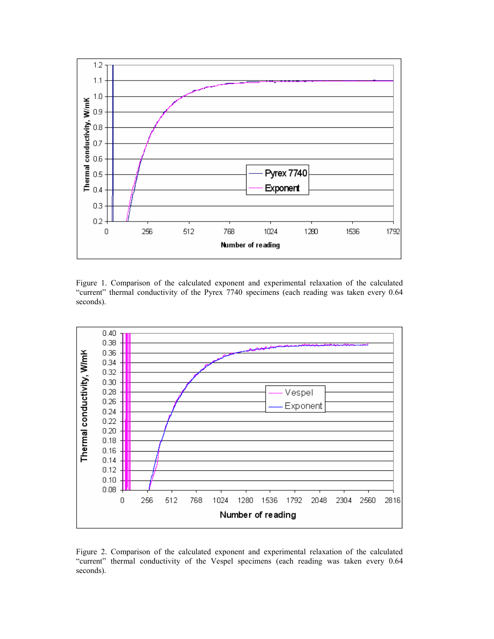

Figure 1. Comparison of the calculated exponent and experimental relaxation of the calculated "current" thermal conductivity of the Pyrex 7740 specimens (each reading was taken every 0.64 seconds).



Figure 2. Comparison of the calculated exponent and experimental relaxation of the calculated "current" thermal conductivity of the Vespel specimens (each reading was taken every 0.64 seconds).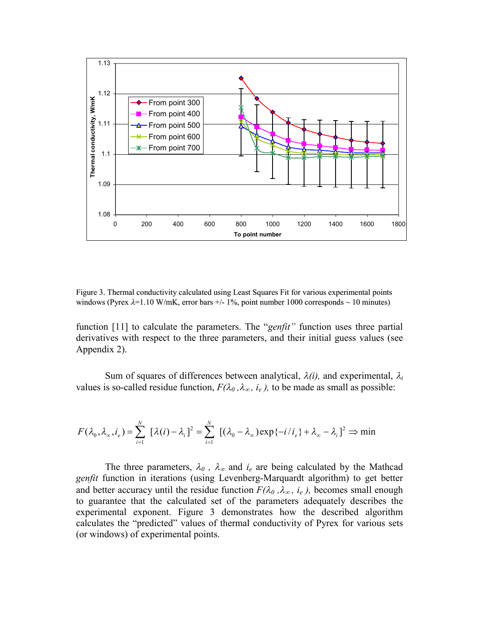

Figure 3. Thermal conductivity calculated using Least Squares Fit for various experimental points windows (Pyrex  $\lambda$ =1.10 W/mK, error bars +/-1%, point number 1000 corresponds  $\sim$  10 minutes)

function [11] to calculate the parameters. The "*genfit*" function uses three partial derivatives with respect to the three parameters, and their initial guess values (see Appendix 2).

Sum of squares of differences between analytical,  $\lambda(i)$ , and experimental,  $\lambda_i$ values is so-called residue function,  $F(\lambda_0, \lambda_\infty, i_e)$ , to be made as small as possible:

$$
F(\lambda_0, \lambda_\infty, i_e) = \sum_{i=1}^N \left[ \lambda(i) - \lambda_i \right]^2 = \sum_{i=1}^N \left[ (\lambda_0 - \lambda_\infty) \exp\{-i/i_e\} + \lambda_\infty - \lambda_i \right]^2 \Rightarrow \min
$$

The three parameters,  $\lambda_0$ ,  $\lambda_{\infty}$  and  $i_e$  are being calculated by the Mathcad *genfit* function in iterations (using Levenberg-Marquardt algorithm) to get better and better accuracy until the residue function  $F(\lambda_0, \lambda_\infty, i_e)$ , becomes small enough to guarantee that the calculated set of the parameters adequately describes the experimental exponent. Figure 3 demonstrates how the described algorithm calculates the "predicted" values of thermal conductivity of Pyrex for various sets (or windows) of experimental points.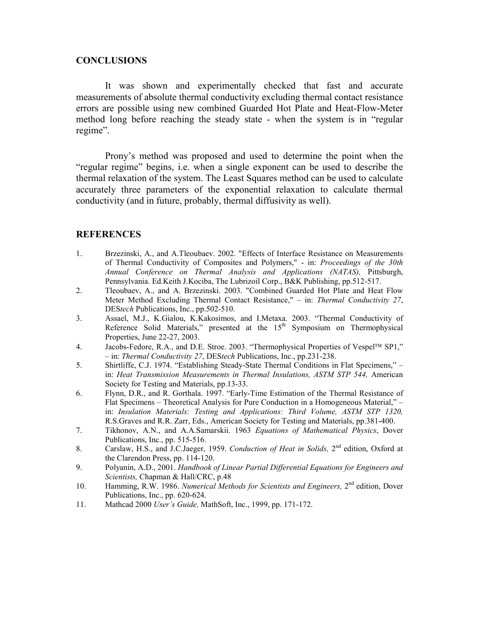## **CONCLUSIONS**

It was shown and experimentally checked that fast and accurate measurements of absolute thermal conductivity excluding thermal contact resistance errors are possible using new combined Guarded Hot Plate and Heat-Flow-Meter method long before reaching the steady state - when the system is in "regular regime".

Prony's method was proposed and used to determine the point when the "regular regime" begins, i.e. when a single exponent can be used to describe the thermal relaxation of the system. The Least Squares method can be used to calculate accurately three parameters of the exponential relaxation to calculate thermal conductivity (and in future, probably, thermal diffusivity as well).

## **REFERENCES**

- 1. Brzezinski, A., and A.Tleoubaev. 2002. "Effects of Interface Resistance on Measurements of Thermal Conductivity of Composites and Polymers," - in: *Proceedings of the 30th Annual Conference on Thermal Analysis and Applications (NATAS),* Pittsburgh, Pennsylvania. Ed.Keith J.Kociba, The Lubrizoil Corp., B&K Publishing, pp.512-517.
- 2. Tleoubaev, A., and A. Brzezinski. 2003. "Combined Guarded Hot Plate and Heat Flow Meter Method Excluding Thermal Contact Resistance," – in: *Thermal Conductivity 27*, DES*tech* Publications, Inc., pp.502-510.
- 3. Assael, M.J., K.Gialou, K.Kakosimos, and I.Metaxa. 2003. "Thermal Conductivity of Reference Solid Materials," presented at the  $15<sup>th</sup>$  Symposium on Thermophysical Properties, June 22-27, 2003.
- 4. Jacobs-Fedore, R.A., and D.E. Stroe. 2003. "Thermophysical Properties of Vespel<sup>TM</sup> SP1," –in: *Thermal Conductivity 27*, DES*tech* Publications, Inc., pp.231-238.
- 5. Shirtliffe, C.J. 1974. "Establishing Steady-State Thermal Conditions in Flat Specimens," in: *Heat Transmission Measurements in Thermal Insulations, ASTM STP 544,* American Society for Testing and Materials, pp.13-33.
- 6. Flynn, D.R., and R. Gorthala. 1997. "Early-Time Estimation of the Thermal Resistance of Flat Specimens – Theoretical Analysis for Pure Conduction in a Homogeneous Material," – in: *Insulation Materials: Testing and Applications: Third Volume, ASTM STP 1320,* R.S.Graves and R.R. Zarr, Eds., American Society for Testing and Materials, pp.381-400.
- 7. Tikhonov, A.N., and A.A.Samarskii. 1963 *Equations of Mathematical Physics*, Dover Publications, Inc., pp. 515-516.
- 8. Carslaw, H.S., and J.C.Jaeger, 1959. *Conduction of Heat in Solids*, 2<sup>nd</sup> edition, Oxford at the Clarendon Press, pp. 114-120.
- 9. Polyanin, A.D., 2001. *Handbook of Linear Partial Differential Equations for Engineers and Scientists,* Chapman & Hall/CRC, p.48
- 10. Hamming, R.W. 1986. *Numerical Methods for Scientists and Engineers*, 2<sup>nd</sup> edition, Dover Publications, Inc., pp. 620-624.
- 11. Mathcad 2000 *User'sGuide,*MathSoft, Inc., 1999, pp. 171-172.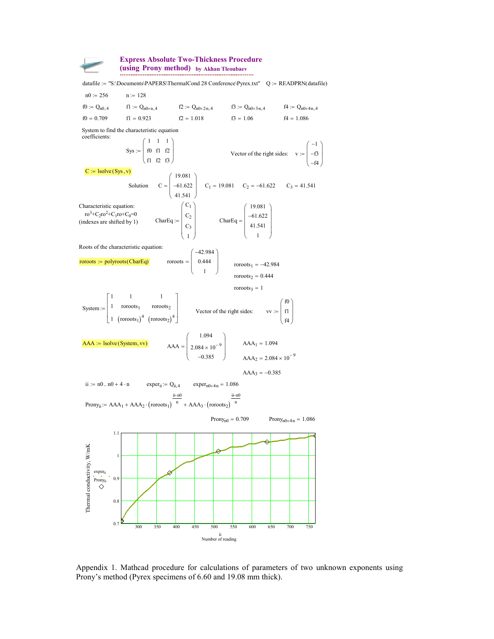

**Express Absolute Two-Thickness Procedure (using Prony method) by Akhan Tleoubaev**

 $C_3 = 41.541$ Characteristic equation:  $\text{ro}^3 + \text{C}_2 \text{ro}^2 + \text{C}_1 \text{ro} + \text{C}_0$  $=0$  $($ indexes are shifted by 1 $)$  $C_1$  $C_2$  $C_3$ 1  $\begin{pmatrix} 0 \\ 1 \end{pmatrix}$ | c  $\mid$  c  $\begin{pmatrix} 1 \\ 1 \end{pmatrix}$  $\vert$  $\mathbb{L}$  $\mathbb{L}$  $\int$  $:=$   $\begin{bmatrix} 1 & 1 \end{bmatrix}$  CharEq 19.081 61.622 41.541 1  $\begin{pmatrix} 1 \\ 1 \end{pmatrix}$ | -، ا  $\left($  $\vert$  $\mathbf{L}$  $\mathbf{L}$  $\Big\}$  $=$   $\mid$ Roots of the characteristic equation:  $roroots := polyroots(CharEq)$ 42.984 0.444 1  $\mathbf{L}$  $\overline{\phantom{a}}$  $\begin{matrix} \phantom{-} \end{matrix}$  $\int$ roroots<sub>1</sub> =  $-42.984$  $roroots<sub>2</sub> = 0.444$ roroots<sub>3</sub> = 1 System 1 1 1 1 roroots<sub>1</sub>  $\left(\text{coroots}_1\right)^4$ 1 roroots<sub>2</sub>  $\left(\text{roroots}_2\right)^4$  $\begin{bmatrix} 1 \\ 1 \end{bmatrix}$  $\mathbf{r}$  $\lfloor_1$  $\mathbb{L}$  $\mathbb{L}$  $\perp$  $X = \begin{bmatrix} 1 & \text{coroots}_1 & \text{coroots}_2 \\ 1 & \text{coroots}_2 & \text{vector of the right sides} \end{bmatrix}$  $f$  f0  $\vert$  f1 f4  $:= | f$  $\binom{f}{f}$  $\mathcal{L}$  $\mathbf{L}$  $\mathbf{L}$ ) **AAA**  $:=$  **lsolve (System, vv)**  $AAA = \begin{bmatrix} 2.084 \times 10^{-9} \end{bmatrix}$   $AAA_1 = 1.094$ 1.094  $2.084 \times 10^{-9}$ 0.385  $\left($  $\mid$  2  $\left($  $\vert$  $\mathbb{L}$  $\Big\}$  $=$   $\mid$  $AAA_2 = 2.084 \times 10^{-9}$  $AAA_3 = -0.385$ ii :=  $n0 \cdot n0 + 4 \cdot n$  exper<sub>ii</sub>:=  $Q_{ii,4}$  exper<sub>n0+4n</sub> = 1.086 Prony<sub>ii</sub> :=  $AAA_1 + AAA_2 \cdot ( \text{roroots}_1 )^{-1}$ ii-n0 + AAA<sub>2</sub> ·  $\left($ roroots<sub>1</sub></sub> $\right)$ <sup>n</sup> + AAA<sub>3</sub> ·  $\left($ roroots<sub>2</sub> $\right)$ <sup>r</sup> ii-n0  $A = AAA_1 + AAA_2 \cdot ( \text{coroots}_1 )$   $\overset{n}{\rightarrow}$   $AAA_3 \cdot ( \text{coroots}_2 )$   $\overset{n}{\rightarrow}$ Prony<sub>n0</sub> = 0.709 Prony<sub>n0+4n</sub> = 1.086 300 350 400 450 500 550 600 650 700 750 0.7  $0.8$ 0.9 1 1.1 Number of reading ii Thermal conductivity, W/m Thermal conductivity, W/mK experii Pronyii datafile := "S:\Documents\PAPERS\ThermalCond 28 Conference\Pyrex.txt"  $Q := READPRN(datafile)$  $n0 := 256$  n := 128  $f0 := Q_{n0,4}$  $f1 := Q_{n0+n,4}$  $f2 := Q_{n0+2n,4}$   $f3 := Q_{n0+3n,4}$  $f4 := Q_{n0+4n,4}$ f0 =  $0.709$  f1 =  $0.923$  f2 =  $1.018$  f3 =  $1.06$  f4 =  $1.086$ System to find the characteristic equation coefficients: Sys 1 f0 f1 1 f1 f2 1 f2 f3  $\begin{pmatrix} 1 \\ 0 \end{pmatrix}$  $\vert$  "  $\binom{f}{f}$  $\mathcal{L}$  $\mathbb{L}$ ) –  $V = \begin{bmatrix} 10 & 11 & 12 \end{bmatrix}$  Vector of the right sides: v 1  $-f3$  $-f4$  $\begin{pmatrix} -1 \\ 1 \end{pmatrix}$  $\vert$   $\vert$ - )  $\vert$  $\mathbf{L}$ Д  $=$  $C := \text{lsolve}(Sys, v)$ Solution C 19.081 61.622 41.541  $\begin{pmatrix} 1 \\ 1 \end{pmatrix}$  $\begin{pmatrix} -1 \\ 2 \end{pmatrix}$  $\vert$  $\int$  $=$  | -61.622 | C<sub>1</sub> = 19.081 C<sub>2</sub> = -61.622

Appendix 1. Mathcad procedure for calculations of parameters of two unknown exponents using Prony's method (Pyrex specimens of 6.60 and 19.08 mm thick).